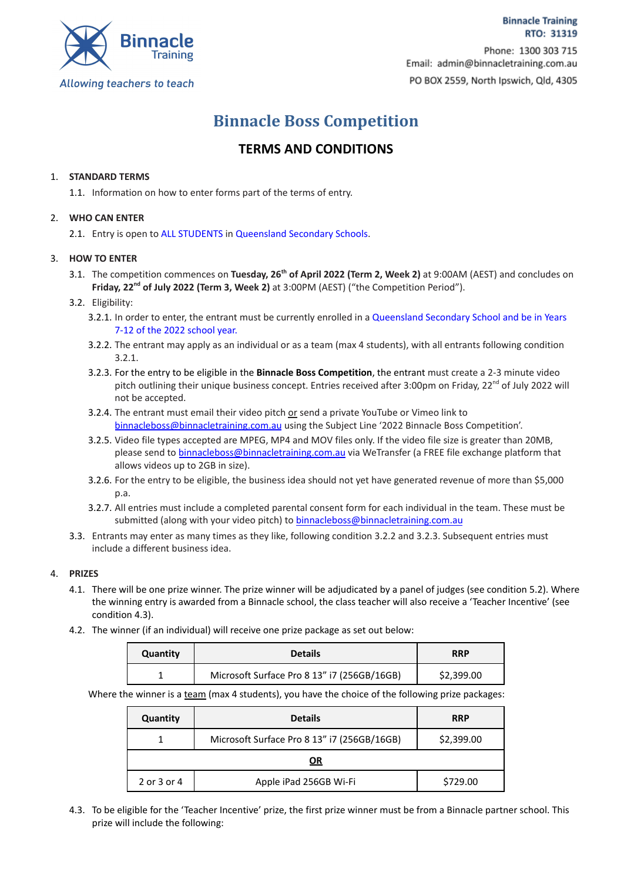

**Binnacle Training** RTO: 31319 Phone: 1300 303 715 Email: admin@binnacletraining.com.au PO BOX 2559, North Ipswich, Qld, 4305

# **Binnacle Boss Competition**

# **TERMS AND CONDITIONS**

# 1. **STANDARD TERMS**

1.1. Information on how to enter forms part of the terms of entry.

### 2. **WHO CAN ENTER**

2.1. Entry is open to ALL STUDENTS in Queensland Secondary Schools.

# 3. **HOW TO ENTER**

3.1. The competition commences on **Tuesday, 26 th of April 2022 (Term 2, Week 2)** at 9:00AM (AEST) and concludes on **Friday, 22<sup>nd</sup> of July 2022 (Term 3, Week 2) at 3:00PM (AEST) ("the Competition Period").** 

# 3.2. Eligibility:

- 3.2.1. In order to enter, the entrant must be currently enrolled in a Queensland Secondary School and be in Years 7-12 of the 2022 school year.
- 3.2.2. The entrant may apply as an individual or as a team (max 4 students), with all entrants following condition 3.2.1.
- 3.2.3. For the entry to be eligible in the **Binnacle Boss Competition**, the entrant must create a 2-3 minute video pitch outlining their unique business concept. Entries received after 3:00pm on Friday, 22<sup>nd</sup> of July 2022 will not be accepted.
- 3.2.4. The entrant must email their video pitch or send a private YouTube or Vimeo link to [binnacleboss@binnacletraining.com.au](mailto:binnacleboss@binnacletraining.com.au) using the Subject Line '2022 Binnacle Boss Competition'.
- 3.2.5. Video file types accepted are MPEG, MP4 and MOV files only. If the video file size is greater than 20MB, please send to **[binnacleboss@binnacletraining.com.au](mailto:binnacleboss@binnacletraining.com.au)** via WeTransfer (a FREE file exchange platform that allows videos up to 2GB in size).
- 3.2.6. For the entry to be eligible, the business idea should not yet have generated revenue of more than \$5,000 p.a.
- 3.2.7. All entries must include a completed parental consent form for each individual in the team. These must be submitted (along with your video pitch) to [binnacleboss@binnacletraining.com.au](mailto:binnacleboss@binnacletraining.com.au)
- 3.3. Entrants may enter as many times as they like, following condition 3.2.2 and 3.2.3. Subsequent entries must include a different business idea.

#### 4. **PRIZES**

- 4.1. There will be one prize winner. The prize winner will be adjudicated by a panel of judges (see condition 5.2). Where the winning entry is awarded from a Binnacle school, the class teacher will also receive a 'Teacher Incentive' (see condition 4.3).
- 4.2. The winner (if an individual) will receive one prize package as set out below:

| Quantity | <b>Details</b>                              | <b>RRP</b> |
|----------|---------------------------------------------|------------|
|          | Microsoft Surface Pro 8 13" i7 (256GB/16GB) | \$2,399.00 |

Where the winner is a team (max 4 students), you have the choice of the following prize packages:

| Quantity    | <b>Details</b>                              | <b>RRP</b> |  |
|-------------|---------------------------------------------|------------|--|
|             | Microsoft Surface Pro 8 13" i7 (256GB/16GB) | \$2,399.00 |  |
| <u>OR</u>   |                                             |            |  |
| 2 or 3 or 4 | Apple iPad 256GB Wi-Fi                      | \$729.00   |  |

4.3. To be eligible for the 'Teacher Incentive' prize, the first prize winner must be from a Binnacle partner school. This prize will include the following: